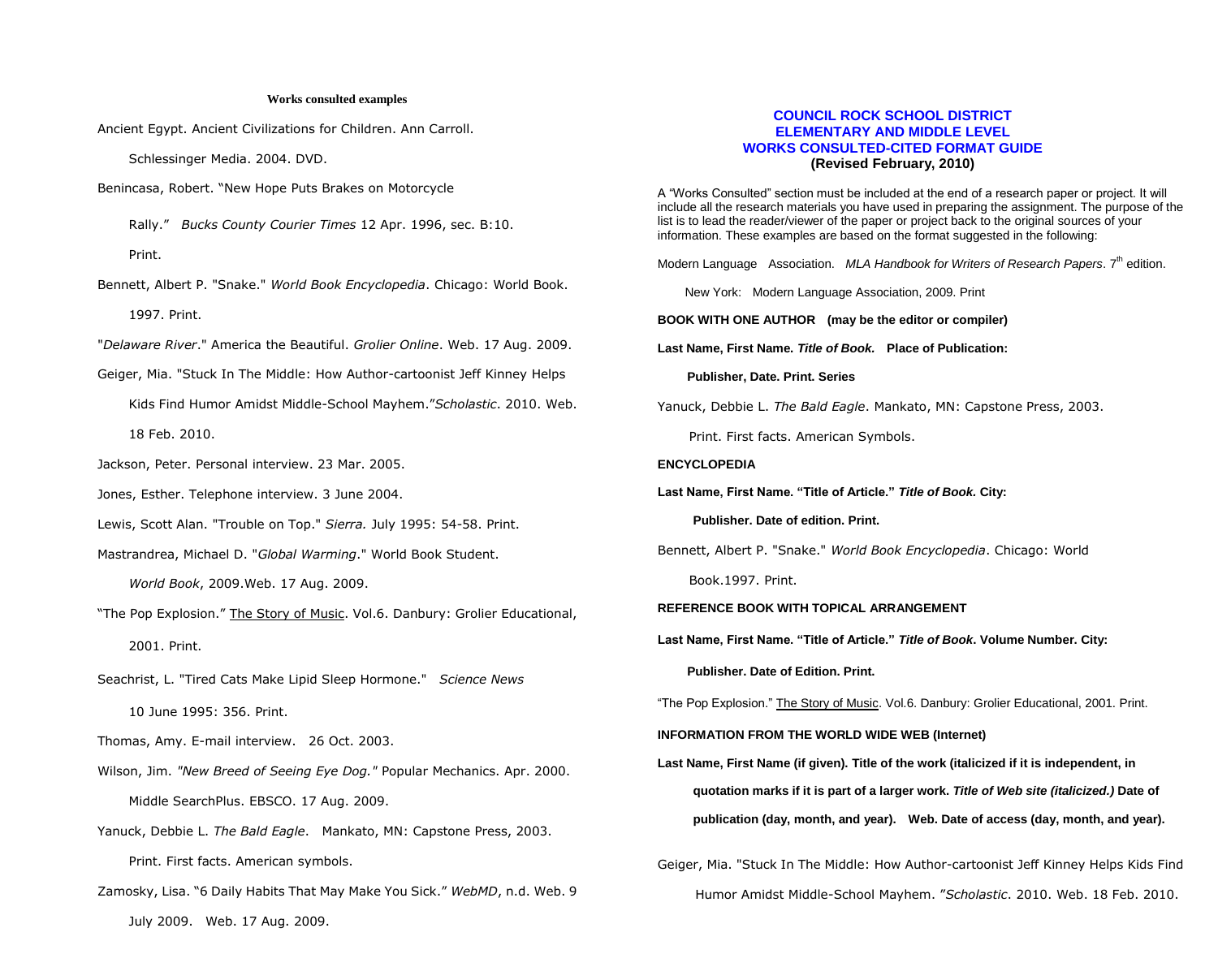#### **Works consulted examples**

Ancient Egypt. Ancient Civilizations for Children. Ann Carroll.

Schlessinger Media. 2004. DVD.

- Benincasa, Robert. "New Hope Puts Brakes on Motorcycle
	- Rally." *Bucks County Courier Times* 12 Apr. 1996, sec. B:10. Print.
- Bennett, Albert P. "Snake." *World Book Encyclopedia*. Chicago: World Book. 1997. Print.
- "*Delaware River*." America the Beautiful. *Grolier Online*. Web. 17 Aug. 2009.
- Geiger, Mia. "Stuck In The Middle: How Author-cartoonist Jeff Kinney Helps Kids Find Humor Amidst Middle-School Mayhem."*Scholastic*. 2010. Web. 18 Feb. 2010.
- Jackson, Peter. Personal interview. 23 Mar. 2005.
- Jones, Esther. Telephone interview. 3 June 2004.
- Lewis, Scott Alan. "Trouble on Top." *Sierra.* July 1995: 54-58. Print.
- Mastrandrea, Michael D. "*Global Warming*." World Book Student.
	- *World Book*, 2009.Web. 17 Aug. 2009.
- "The Pop Explosion." The Story of Music. Vol.6. Danbury: Grolier Educational, 2001. Print.
- Seachrist, L. "Tired Cats Make Lipid Sleep Hormone." *Science News* 10 June 1995: 356. Print.
- Thomas, Amy. E-mail interview. 26 Oct. 2003.
- Wilson, Jim. *"New Breed of Seeing Eye Dog."* Popular Mechanics. Apr. 2000. Middle SearchPlus. EBSCO. 17 Aug. 2009.
- Yanuck, Debbie L. *The Bald Eagle*. Mankato, MN: Capstone Press, 2003. Print. First facts. American symbols.
- Zamosky, Lisa. "6 Daily Habits That May Make You Sick." *WebMD*, n.d. Web. 9 July 2009. Web. 17 Aug. 2009.

# **COUNCIL ROCK SCHOOL DISTRICT ELEMENTARY AND MIDDLE LEVEL WORKS CONSULTED-CITED FORMAT GUIDE (Revised February, 2010)**

A "Works Consulted" section must be included at the end of a research paper or project. It will include all the research materials you have used in preparing the assignment. The purpose of the list is to lead the reader/viewer of the paper or project back to the original sources of your information. These examples are based on the format suggested in the following:

Modern Language Association. *MLA Handbook for Writers of Research Papers*. 7<sup>th</sup> edition.

New York: Modern Language Association, 2009. Print

**BOOK WITH ONE AUTHOR (may be the editor or compiler)** 

**Last Name, First Name.** *Title of Book.* **Place of Publication:** 

 **Publisher, Date. Print. Series** 

Yanuck, Debbie L. *The Bald Eagle*. Mankato, MN: Capstone Press, 2003.

Print. First facts. American Symbols.

## **ENCYCLOPEDIA**

**Last Name, First Name. "Title of Article."** *Title of Book.* **City:** 

 **Publisher. Date of edition. Print.** 

Bennett, Albert P. "Snake." *World Book Encyclopedia*. Chicago: World

Book.1997. Print.

- **REFERENCE BOOK WITH TOPICAL ARRANGEMENT**
- **Last Name, First Name. "Title of Article."** *Title of Book***. Volume Number. City:**

 **Publisher. Date of Edition. Print.**

"The Pop Explosion." The Story of Music. Vol.6. Danbury: Grolier Educational, 2001. Print.

**INFORMATION FROM THE WORLD WIDE WEB (Internet)** 

**Last Name, First Name (if given). Title of the work (italicized if it is independent, in quotation marks if it is part of a larger work.** *Title of Web site (italicized.)* **Date of publication (day, month, and year). Web. Date of access (day, month, and year).** 

Geiger, Mia. "Stuck In The Middle: How Author-cartoonist Jeff Kinney Helps Kids Find Humor Amidst Middle-School Mayhem. "*Scholastic*. 2010. Web. 18 Feb. 2010.